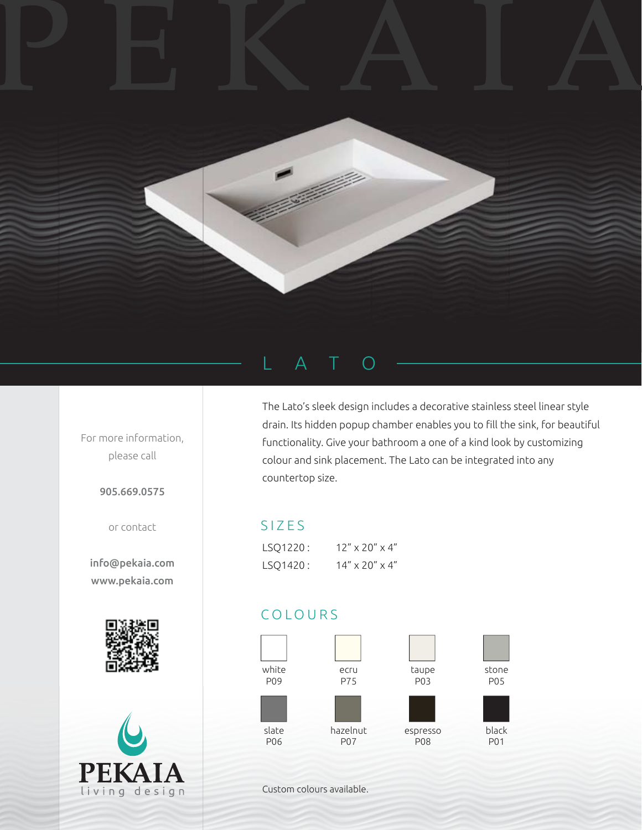# PEKAIA



For more information, please call

905.669.0575

or contact

info@pekaia.com www.pekaia.com





# LATO

The Lato's sleek design includes a decorative stainless steel linear style drain. Its hidden popup chamber enables you to fill the sink, for beautiful functionality. Give your bathroom a one of a kind look by customizing colour and sink placement. The Lato can be integrated into any countertop size.

### SIZES

| LSO1220: | $12'' \times 20'' \times 4''$ |
|----------|-------------------------------|
| LSO1420: | $14'' \times 20'' \times 4''$ |

## COLOURS



Custom colours available.